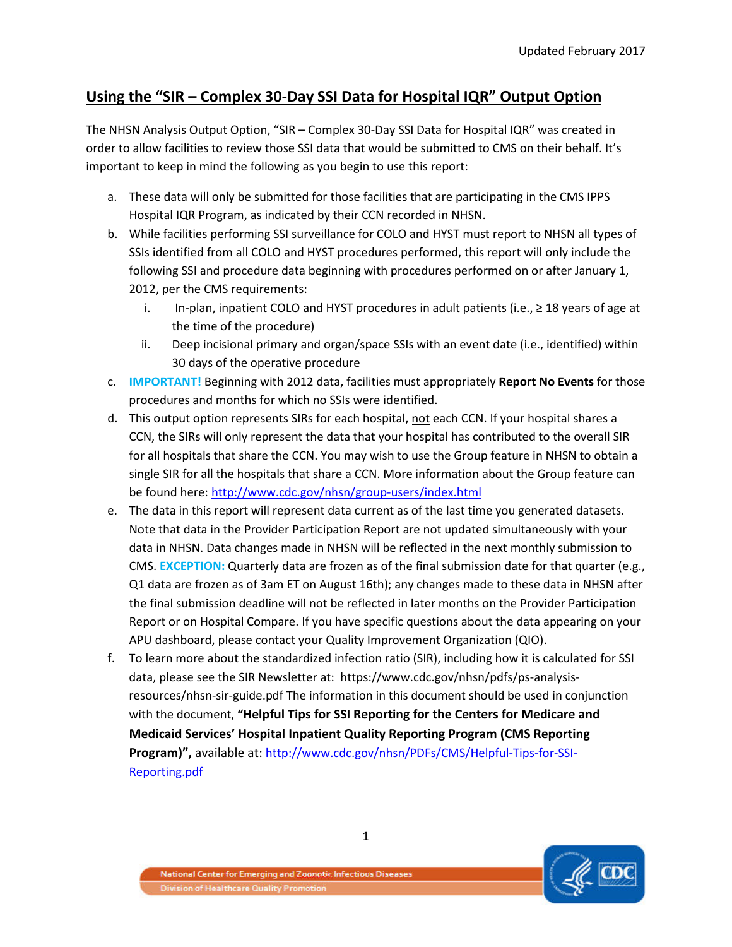## **Using the "SIR – Complex 30-Day SSI Data for Hospital IQR" Output Option**

The NHSN Analysis Output Option, "SIR – Complex 30-Day SSI Data for Hospital IQR" was created in order to allow facilities to review those SSI data that would be submitted to CMS on their behalf. It's important to keep in mind the following as you begin to use this report:

- a. These data will only be submitted for those facilities that are participating in the CMS IPPS Hospital IQR Program, as indicated by their CCN recorded in NHSN.
- b. While facilities performing SSI surveillance for COLO and HYST must report to NHSN all types of SSIs identified from all COLO and HYST procedures performed, this report will only include the following SSI and procedure data beginning with procedures performed on or after January 1, 2012, per the CMS requirements:
	- i. In-plan, inpatient COLO and HYST procedures in adult patients (i.e., ≥ 18 years of age at the time of the procedure)
	- ii. Deep incisional primary and organ/space SSIs with an event date (i.e., identified) within 30 days of the operative procedure
- c. **IMPORTANT!** Beginning with 2012 data, facilities must appropriately **Report No Events** for those procedures and months for which no SSIs were identified.
- d. This output option represents SIRs for each hospital, not each CCN. If your hospital shares a CCN, the SIRs will only represent the data that your hospital has contributed to the overall SIR for all hospitals that share the CCN. You may wish to use the Group feature in NHSN to obtain a single SIR for all the hospitals that share a CCN. More information about the Group feature can be found here[: http://www.cdc.gov/nhsn/group-users/index.html](http://www.cdc.gov/nhsn/group-users/index.html)
- e. The data in this report will represent data current as of the last time you generated datasets. Note that data in the Provider Participation Report are not updated simultaneously with your data in NHSN. Data changes made in NHSN will be reflected in the next monthly submission to CMS. **EXCEPTION:** Quarterly data are frozen as of the final submission date for that quarter (e.g., Q1 data are frozen as of 3am ET on August 16th); any changes made to these data in NHSN after the final submission deadline will not be reflected in later months on the Provider Participation Report or on Hospital Compare. If you have specific questions about the data appearing on your APU dashboard, please contact your Quality Improvement Organization (QIO).
- f. To learn more about the standardized infection ratio (SIR), including how it is calculated for SSI data, please see the SIR Newsletter at: https://www.cdc.gov/nhsn/pdfs/ps-analysisresources/nhsn-sir-guide.pdf The information in this document should be used in conjunction with the document, **"Helpful Tips for SSI Reporting for the Centers for Medicare and Medicaid Services' Hospital Inpatient Quality Reporting Program (CMS Reporting Program)",** available at: [http://www.cdc.gov/nhsn/PDFs/CMS/Helpful-Tips-for-SSI-](http://www.cdc.gov/nhsn/PDFs/CMS/Helpful-Tips-for-SSI-Reporting.pdf)[Reporting.pdf](http://www.cdc.gov/nhsn/PDFs/CMS/Helpful-Tips-for-SSI-Reporting.pdf)

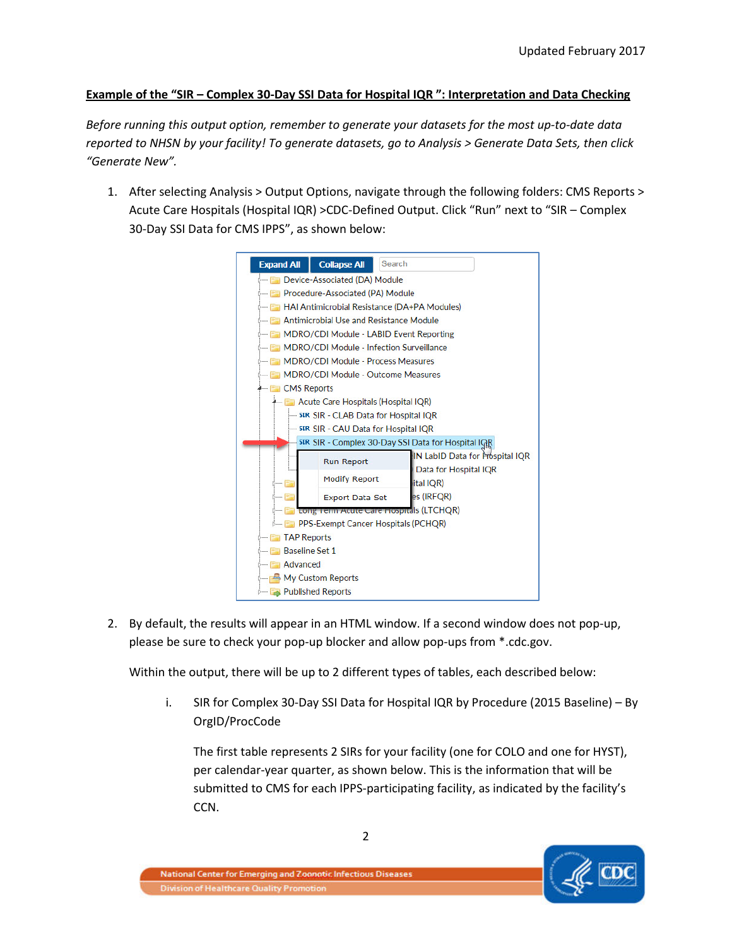## **Example of the "SIR – Complex 30-Day SSI Data for Hospital IQR ": Interpretation and Data Checking**

*Before running this output option, remember to generate your datasets for the most up-to-date data reported to NHSN by your facility! To generate datasets, go to Analysis > Generate Data Sets, then click "Generate New".*

1. After selecting Analysis > Output Options, navigate through the following folders: CMS Reports > Acute Care Hospitals (Hospital IQR) >CDC-Defined Output. Click "Run" next to "SIR – Complex 30-Day SSI Data for CMS IPPS", as shown below:



2. By default, the results will appear in an HTML window. If a second window does not pop-up, please be sure to check your pop-up blocker and allow pop-ups from \*.cdc.gov.

Within the output, there will be up to 2 different types of tables, each described below:

i. SIR for Complex 30-Day SSI Data for Hospital IQR by Procedure (2015 Baseline) – By OrgID/ProcCode

The first table represents 2 SIRs for your facility (one for COLO and one for HYST), per calendar-year quarter, as shown below. This is the information that will be submitted to CMS for each IPPS-participating facility, as indicated by the facility's CCN.

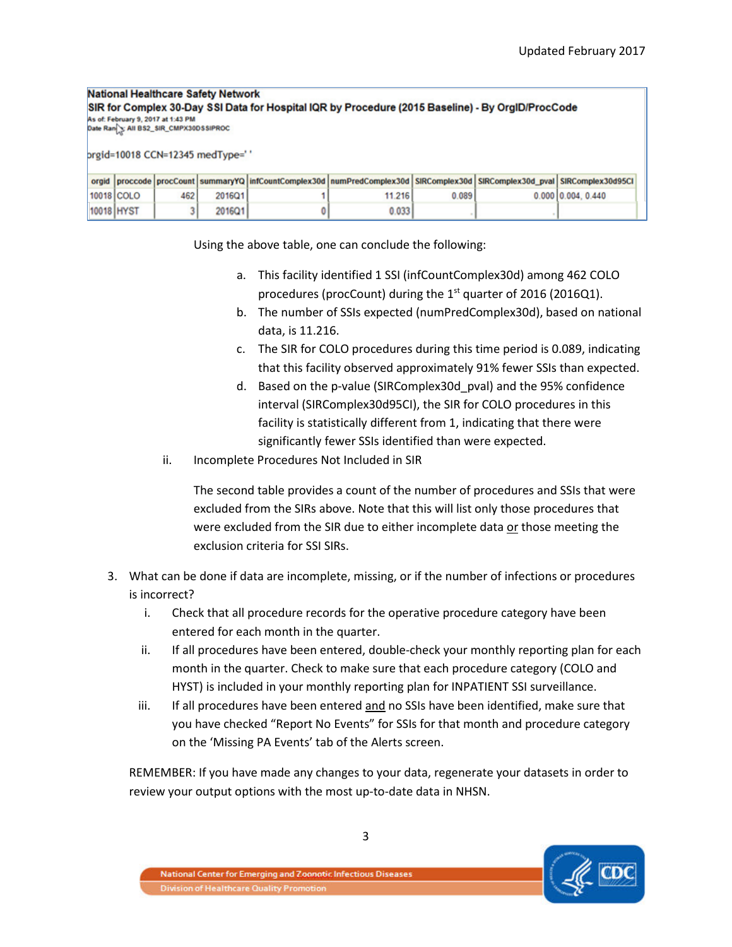## National Healthcare Safety Network SIR for Complex 30-Day SSI Data for Hospital IQR by Procedure (2015 Baseline) - By OrgID/ProcCode As of: February 9, 2017 at 1:43 PM

Date Ran & All BS2\_SIR\_CMPX30DSSIPROC

prgid=10018 CCN=12345 medType=' '

|            |            |      |        | orgid  proccode  procCount  summaryYQ  infCountComplex30d  numPredComplex30d   SIRComplex30d   SIRComplex30d pval   SIRComplex30d pval   SIRComplex30d   SI |       |                           |
|------------|------------|------|--------|-------------------------------------------------------------------------------------------------------------------------------------------------------------|-------|---------------------------|
|            | 10018 COLO | 4621 | 2016Q1 | 11.216                                                                                                                                                      | 0.089 | $0.000$ $0.004$ , $0.440$ |
| 10018 HYST |            |      | 2016Q1 | 0.033                                                                                                                                                       |       |                           |

Using the above table, one can conclude the following:

- a. This facility identified 1 SSI (infCountComplex30d) among 462 COLO procedures (procCount) during the  $1<sup>st</sup>$  quarter of 2016 (2016Q1).
- b. The number of SSIs expected (numPredComplex30d), based on national data, is 11.216.
- c. The SIR for COLO procedures during this time period is 0.089, indicating that this facility observed approximately 91% fewer SSIs than expected.
- d. Based on the p-value (SIRComplex30d\_pval) and the 95% confidence interval (SIRComplex30d95CI), the SIR for COLO procedures in this facility is statistically different from 1, indicating that there were significantly fewer SSIs identified than were expected.
- ii. Incomplete Procedures Not Included in SIR

The second table provides a count of the number of procedures and SSIs that were excluded from the SIRs above. Note that this will list only those procedures that were excluded from the SIR due to either incomplete data or those meeting the exclusion criteria for SSI SIRs.

- 3. What can be done if data are incomplete, missing, or if the number of infections or procedures is incorrect?
	- i. Check that all procedure records for the operative procedure category have been entered for each month in the quarter.
	- ii. If all procedures have been entered, double-check your monthly reporting plan for each month in the quarter. Check to make sure that each procedure category (COLO and HYST) is included in your monthly reporting plan for INPATIENT SSI surveillance.
	- iii. If all procedures have been entered and no SSIs have been identified, make sure that you have checked "Report No Events" for SSIs for that month and procedure category on the 'Missing PA Events' tab of the Alerts screen.

REMEMBER: If you have made any changes to your data, regenerate your datasets in order to review your output options with the most up-to-date data in NHSN.